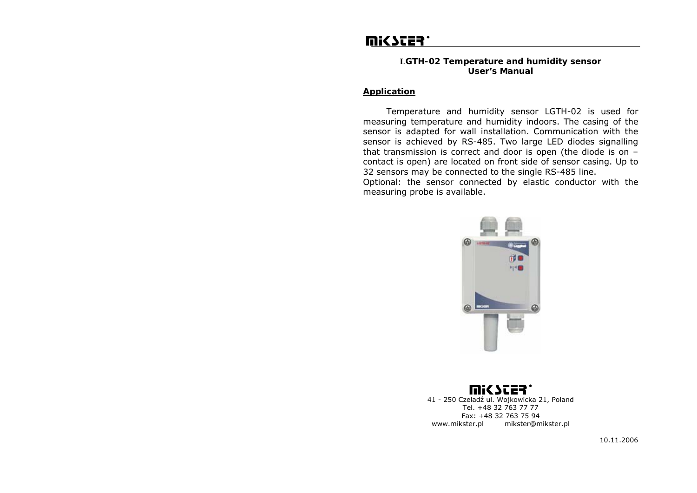# **WICSCES.**

## **LGTH-02 Temperature and humidity sensor User's Manual**

# *Application*

 Temperature and humidity sensor LGTH-02 is used for measuring temperature and humidity indoors. The casing of the sensor is adapted for wall installation. Communication with the sensor is achieved by RS-485. Two large LED diodes signalling that transmission is correct and door is open (the diode is on – contact is open) are located on front side of sensor casing. Up to 32 sensors may be connected to the single RS-485 line.

Optional: the sensor connected by elastic conductor with the measuring probe is available.



miC Ster 41 - 250 Czeladź ul. Wojkowicka 21, Poland Tel. +48 32 763 77 77 Fax: +48 32 763 75 94 www.mikster.pl mikster@mikster.pl

10.11.2006